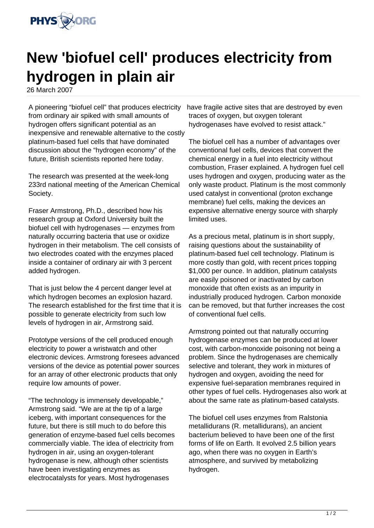

## **New 'biofuel cell' produces electricity from hydrogen in plain air**

26 March 2007

A pioneering "biofuel cell" that produces electricity from ordinary air spiked with small amounts of hydrogen offers significant potential as an inexpensive and renewable alternative to the costly platinum-based fuel cells that have dominated discussion about the "hydrogen economy" of the future, British scientists reported here today.

The research was presented at the week-long 233rd national meeting of the American Chemical Society.

Fraser Armstrong, Ph.D., described how his research group at Oxford University built the biofuel cell with hydrogenases — enzymes from naturally occurring bacteria that use or oxidize hydrogen in their metabolism. The cell consists of two electrodes coated with the enzymes placed inside a container of ordinary air with 3 percent added hydrogen.

That is just below the 4 percent danger level at which hydrogen becomes an explosion hazard. The research established for the first time that it is possible to generate electricity from such low levels of hydrogen in air, Armstrong said.

Prototype versions of the cell produced enough electricity to power a wristwatch and other electronic devices. Armstrong foresees advanced versions of the device as potential power sources for an array of other electronic products that only require low amounts of power.

"The technology is immensely developable," Armstrong said. "We are at the tip of a large iceberg, with important consequences for the future, but there is still much to do before this generation of enzyme-based fuel cells becomes commercially viable. The idea of electricity from hydrogen in air, using an oxygen-tolerant hydrogenase is new, although other scientists have been investigating enzymes as electrocatalysts for years. Most hydrogenases

have fragile active sites that are destroyed by even traces of oxygen, but oxygen tolerant hydrogenases have evolved to resist attack."

The biofuel cell has a number of advantages over conventional fuel cells, devices that convert the chemical energy in a fuel into electricity without combustion, Fraser explained. A hydrogen fuel cell uses hydrogen and oxygen, producing water as the only waste product. Platinum is the most commonly used catalyst in conventional (proton exchange membrane) fuel cells, making the devices an expensive alternative energy source with sharply limited uses.

As a precious metal, platinum is in short supply, raising questions about the sustainability of platinum-based fuel cell technology. Platinum is more costly than gold, with recent prices topping \$1,000 per ounce. In addition, platinum catalysts are easily poisoned or inactivated by carbon monoxide that often exists as an impurity in industrially produced hydrogen. Carbon monoxide can be removed, but that further increases the cost of conventional fuel cells.

Armstrong pointed out that naturally occurring hydrogenase enzymes can be produced at lower cost, with carbon-monoxide poisoning not being a problem. Since the hydrogenases are chemically selective and tolerant, they work in mixtures of hydrogen and oxygen, avoiding the need for expensive fuel-separation membranes required in other types of fuel cells. Hydrogenases also work at about the same rate as platinum-based catalysts.

The biofuel cell uses enzymes from Ralstonia metallidurans (R. metallidurans), an ancient bacterium believed to have been one of the first forms of life on Earth. It evolved 2.5 billion years ago, when there was no oxygen in Earth's atmosphere, and survived by metabolizing hydrogen.